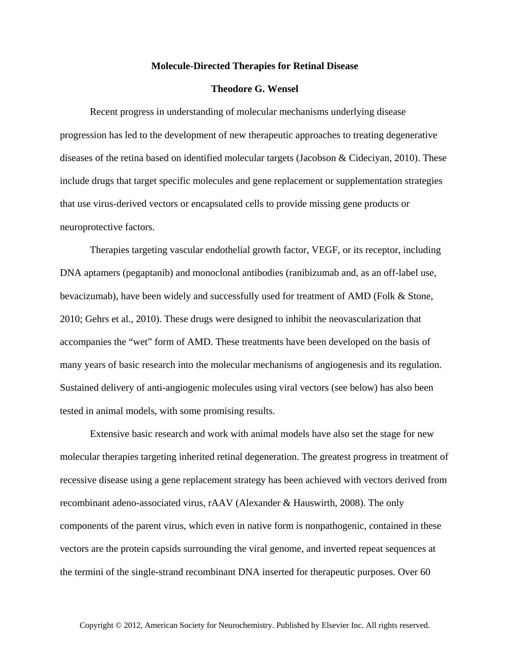## **Molecule-Directed Therapies for Retinal Disease**

## **Theodore G. Wensel**

Recent progress in understanding of molecular mechanisms underlying disease progression has led to the development of new therapeutic approaches to treating degenerative diseases of the retina based on identified molecular targets (Jacobson & Cideciyan, 2010). These include drugs that target specific molecules and gene replacement or supplementation strategies that use virus-derived vectors or encapsulated cells to provide missing gene products or neuroprotective factors.

Therapies targeting vascular endothelial growth factor, VEGF, or its receptor, including DNA aptamers (pegaptanib) and monoclonal antibodies (ranibizumab and, as an off-label use, bevacizumab), have been widely and successfully used for treatment of AMD (Folk & Stone, 2010; Gehrs et al., 2010). These drugs were designed to inhibit the neovascularization that accompanies the "wet" form of AMD. These treatments have been developed on the basis of many years of basic research into the molecular mechanisms of angiogenesis and its regulation. Sustained delivery of anti-angiogenic molecules using viral vectors (see below) has also been tested in animal models, with some promising results.

Extensive basic research and work with animal models have also set the stage for new molecular therapies targeting inherited retinal degeneration. The greatest progress in treatment of recessive disease using a gene replacement strategy has been achieved with vectors derived from recombinant adeno-associated virus, rAAV (Alexander & Hauswirth, 2008). The only components of the parent virus, which even in native form is nonpathogenic, contained in these vectors are the protein capsids surrounding the viral genome, and inverted repeat sequences at the termini of the single-strand recombinant DNA inserted for therapeutic purposes. Over 60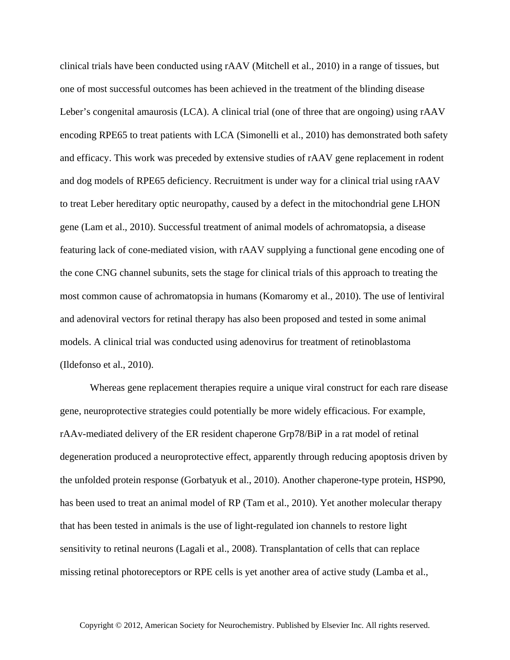clinical trials have been conducted using rAAV (Mitchell et al., 2010) in a range of tissues, but one of most successful outcomes has been achieved in the treatment of the blinding disease Leber's congenital amaurosis (LCA). A clinical trial (one of three that are ongoing) using rAAV encoding RPE65 to treat patients with LCA (Simonelli et al., 2010) has demonstrated both safety and efficacy. This work was preceded by extensive studies of rAAV gene replacement in rodent and dog models of RPE65 deficiency. Recruitment is under way for a clinical trial using rAAV to treat Leber hereditary optic neuropathy, caused by a defect in the mitochondrial gene LHON gene (Lam et al., 2010). Successful treatment of animal models of achromatopsia, a disease featuring lack of cone-mediated vision, with rAAV supplying a functional gene encoding one of the cone CNG channel subunits, sets the stage for clinical trials of this approach to treating the most common cause of achromatopsia in humans (Komaromy et al., 2010). The use of lentiviral and adenoviral vectors for retinal therapy has also been proposed and tested in some animal models. A clinical trial was conducted using adenovirus for treatment of retinoblastoma (Ildefonso et al., 2010).

Whereas gene replacement therapies require a unique viral construct for each rare disease gene, neuroprotective strategies could potentially be more widely efficacious. For example, rAAv-mediated delivery of the ER resident chaperone Grp78/BiP in a rat model of retinal degeneration produced a neuroprotective effect, apparently through reducing apoptosis driven by the unfolded protein response (Gorbatyuk et al., 2010). Another chaperone-type protein, HSP90, has been used to treat an animal model of RP (Tam et al., 2010). Yet another molecular therapy that has been tested in animals is the use of light-regulated ion channels to restore light sensitivity to retinal neurons (Lagali et al., 2008). Transplantation of cells that can replace missing retinal photoreceptors or RPE cells is yet another area of active study (Lamba et al.,